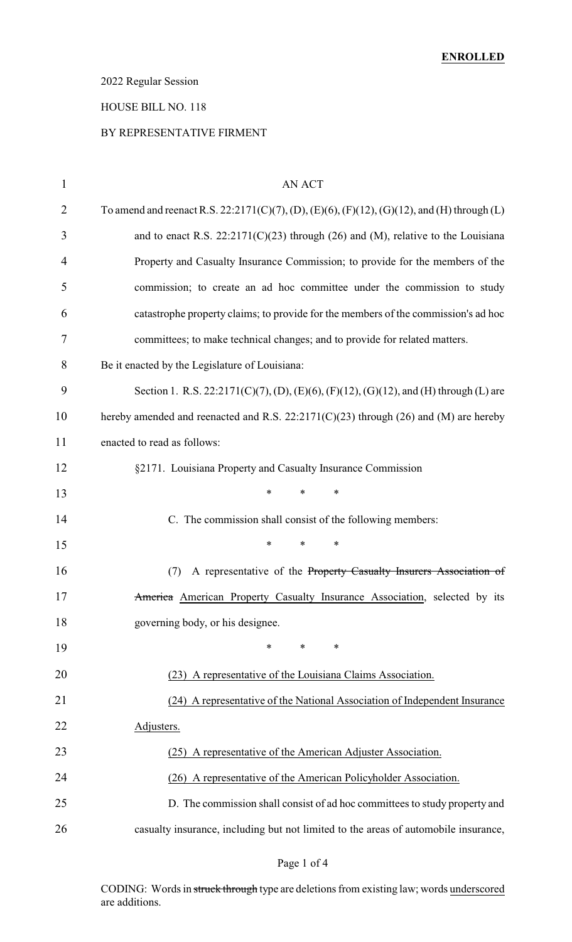# 2022 Regular Session

# HOUSE BILL NO. 118

### BY REPRESENTATIVE FIRMENT

| $\mathbf{1}$   | AN ACT                                                                                      |
|----------------|---------------------------------------------------------------------------------------------|
| $\overline{2}$ | To amend and reenact R.S. 22:2171(C)(7), (D), (E)(6), (F)(12), (G)(12), and (H) through (L) |
| 3              | and to enact R.S. $22:2171(C)(23)$ through (26) and (M), relative to the Louisiana          |
| 4              | Property and Casualty Insurance Commission; to provide for the members of the               |
| 5              | commission; to create an ad hoc committee under the commission to study                     |
| 6              | catastrophe property claims; to provide for the members of the commission's ad hoc          |
| 7              | committees; to make technical changes; and to provide for related matters.                  |
| 8              | Be it enacted by the Legislature of Louisiana:                                              |
| 9              | Section 1. R.S. 22:2171(C)(7), (D), (E)(6), (F)(12), (G)(12), and (H) through (L) are       |
| 10             | hereby amended and reenacted and R.S. $22:2171(C)(23)$ through (26) and (M) are hereby      |
| 11             | enacted to read as follows:                                                                 |
| 12             | §2171. Louisiana Property and Casualty Insurance Commission                                 |
| 13             | $\ast$<br>*<br>$\ast$                                                                       |
| 14             | C. The commission shall consist of the following members:                                   |
| 15             | $\ast$<br>*<br>∗                                                                            |
| 16             | A representative of the Property Casualty Insurers Association of<br>(7)                    |
| 17             | America American Property Casualty Insurance Association, selected by its                   |
| 18             | governing body, or his designee.                                                            |
| 19             | ∗<br>*<br>∗                                                                                 |
| 20             | (23) A representative of the Louisiana Claims Association.                                  |
| 21             | (24) A representative of the National Association of Independent Insurance                  |
| 22             | Adjusters.                                                                                  |
| 23             | (25) A representative of the American Adjuster Association.                                 |
| 24             | (26) A representative of the American Policyholder Association.                             |
| 25             | D. The commission shall consist of ad hoc committees to study property and                  |
| 26             | casualty insurance, including but not limited to the areas of automobile insurance,         |

Page 1 of 4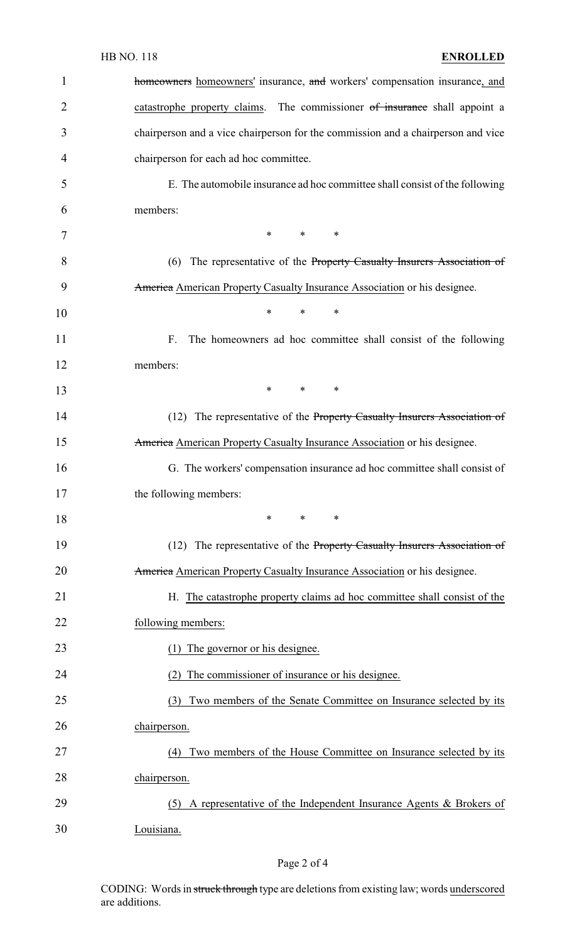| <b>HB NO. 118</b> |  |
|-------------------|--|
|-------------------|--|

| $\mathbf{1}$ | homeowners homeowners' insurance, and workers' compensation insurance, and       |
|--------------|----------------------------------------------------------------------------------|
| 2            | catastrophe property claims. The commissioner of insurance shall appoint a       |
| 3            | chairperson and a vice chairperson for the commission and a chairperson and vice |
| 4            | chairperson for each ad hoc committee.                                           |
| 5            | E. The automobile insurance ad hoc committee shall consist of the following      |
| 6            | members:                                                                         |
| 7            | $*$ *<br>$\ast$                                                                  |
| 8            | (6) The representative of the Property Casualty Insurers Association of          |
| 9            | America American Property Casualty Insurance Association or his designee.        |
| 10           | $\ast$<br>∗<br>∗                                                                 |
| 11           | The homeowners ad hoc committee shall consist of the following<br>F.             |
| 12           | members:                                                                         |
| 13           | $\ast$<br>$\ast$<br>$\ast$                                                       |
| 14           | (12) The representative of the Property Casualty Insurers Association of         |
| 15           | America American Property Casualty Insurance Association or his designee.        |
| 16           | G. The workers' compensation insurance ad hoc committee shall consist of         |
| 17           | the following members:                                                           |
| 18           | $\ast$<br>∗<br>∗                                                                 |
| 19           | (12) The representative of the Property Casualty Insurers Association of         |
| 20           | America American Property Casualty Insurance Association or his designee.        |
| 21           | H. The catastrophe property claims ad hoc committee shall consist of the         |
| 22           | following members:                                                               |
| 23           | The governor or his designee.                                                    |
| 24           | The commissioner of insurance or his designee.                                   |
| 25           | Two members of the Senate Committee on Insurance selected by its<br>(3)          |
| 26           | chairperson.                                                                     |
| 27           | Two members of the House Committee on Insurance selected by its<br>(4)           |
| 28           | chairperson.                                                                     |
| 29           | A representative of the Independent Insurance Agents & Brokers of<br>(5)         |
| 30           | Louisiana.                                                                       |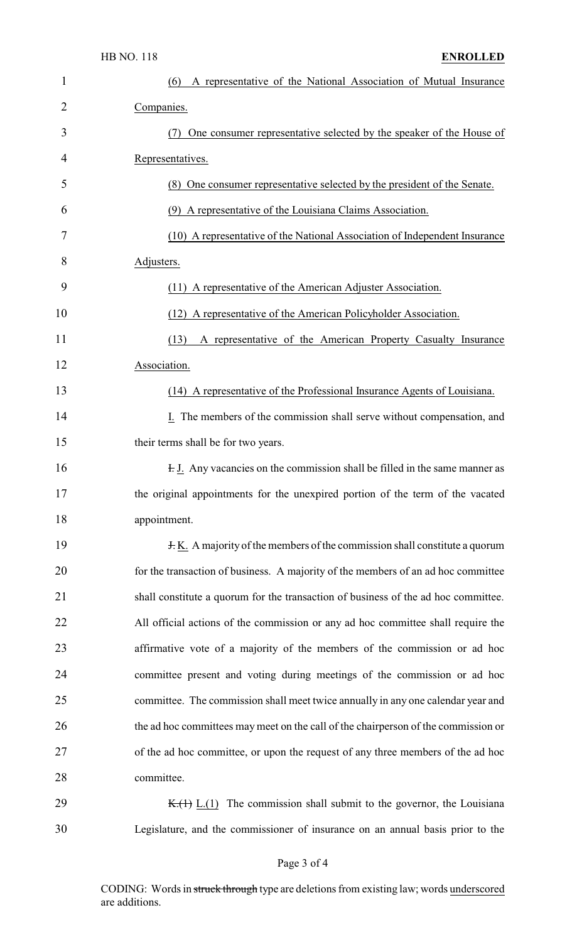| $\mathbf{1}$   | (6)<br>A representative of the National Association of Mutual Insurance            |
|----------------|------------------------------------------------------------------------------------|
| $\overline{2}$ | Companies.                                                                         |
| 3              | One consumer representative selected by the speaker of the House of                |
| 4              | Representatives.                                                                   |
| 5              | (8) One consumer representative selected by the president of the Senate.           |
| 6              | (9) A representative of the Louisiana Claims Association.                          |
| 7              | (10) A representative of the National Association of Independent Insurance         |
| 8              | Adjusters.                                                                         |
| 9              | (11) A representative of the American Adjuster Association.                        |
| 10             | (12) A representative of the American Policyholder Association.                    |
| 11             | A representative of the American Property Casualty Insurance<br>(13)               |
| 12             | Association.                                                                       |
| 13             | (14) A representative of the Professional Insurance Agents of Louisiana.           |
| 14             | I. The members of the commission shall serve without compensation, and             |
| 15             | their terms shall be for two years.                                                |
| 16             | <b>H. J.</b> Any vacancies on the commission shall be filled in the same manner as |
| 17             | the original appointments for the unexpired portion of the term of the vacated     |
| 18             | appointment.                                                                       |
| 19             | <b>H.K.</b> A majority of the members of the commission shall constitute a quorum  |
| 20             | for the transaction of business. A majority of the members of an ad hoc committee  |
| 21             | shall constitute a quorum for the transaction of business of the ad hoc committee. |
| 22             | All official actions of the commission or any ad hoc committee shall require the   |
| 23             | affirmative vote of a majority of the members of the commission or ad hoc          |
| 24             | committee present and voting during meetings of the commission or ad hoc           |
| 25             | committee. The commission shall meet twice annually in any one calendar year and   |
| 26             | the ad hoc committees may meet on the call of the chairperson of the commission or |
| 27             | of the ad hoc committee, or upon the request of any three members of the ad hoc    |
| 28             | committee.                                                                         |
| 29             | $K_{\cdot}(1)$ L.(1) The commission shall submit to the governor, the Louisiana    |
| 30             | Legislature, and the commissioner of insurance on an annual basis prior to the     |

# Page 3 of 4